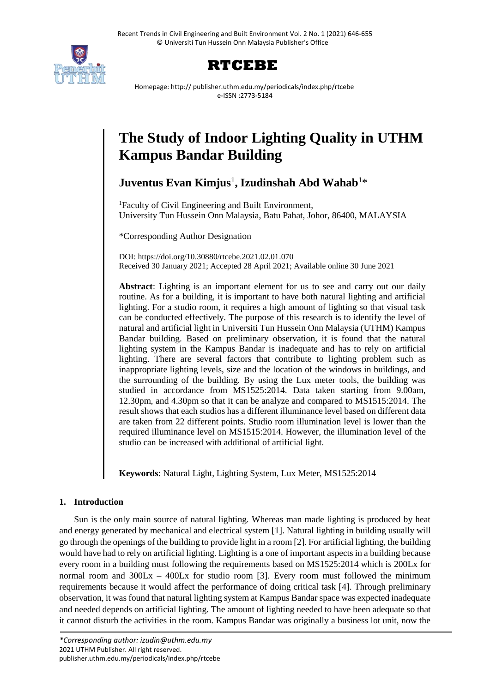



Homepage: http:// publisher.uthm.edu.my/periodicals/index.php/rtcebe e-ISSN :2773-5184

# **The Study of Indoor Lighting Quality in UTHM Kampus Bandar Building**

**Juventus Evan Kimjus**<sup>1</sup> **, Izudinshah Abd Wahab**<sup>1</sup>\*

<sup>1</sup>Faculty of Civil Engineering and Built Environment, University Tun Hussein Onn Malaysia, Batu Pahat, Johor, 86400, MALAYSIA

\*Corresponding Author Designation

DOI: https://doi.org/10.30880/rtcebe.2021.02.01.070 Received 30 January 2021; Accepted 28 April 2021; Available online 30 June 2021

**Abstract**: Lighting is an important element for us to see and carry out our daily routine. As for a building, it is important to have both natural lighting and artificial lighting. For a studio room, it requires a high amount of lighting so that visual task can be conducted effectively. The purpose of this research is to identify the level of natural and artificial light in Universiti Tun Hussein Onn Malaysia (UTHM) Kampus Bandar building. Based on preliminary observation, it is found that the natural lighting system in the Kampus Bandar is inadequate and has to rely on artificial lighting. There are several factors that contribute to lighting problem such as inappropriate lighting levels, size and the location of the windows in buildings, and the surrounding of the building. By using the Lux meter tools, the building was studied in accordance from MS1525:2014. Data taken starting from 9.00am, 12.30pm, and 4.30pm so that it can be analyze and compared to MS1515:2014. The result shows that each studios has a different illuminance level based on different data are taken from 22 different points. Studio room illumination level is lower than the required illuminance level on MS1515:2014. However, the illumination level of the studio can be increased with additional of artificial light.

**Keywords**: Natural Light, Lighting System, Lux Meter, MS1525:2014

# **1. Introduction**

Sun is the only main source of natural lighting. Whereas man made lighting is produced by heat and energy generated by mechanical and electrical system [1]. Natural lighting in building usually will go through the openings of the building to provide light in a room [2]. For artificial lighting, the building would have had to rely on artificial lighting. Lighting is a one of important aspects in a building because every room in a building must following the requirements based on MS1525:2014 which is 200Lx for normal room and  $300\text{Lx} - 400\text{Lx}$  for studio room [3]. Every room must followed the minimum requirements because it would affect the performance of doing critical task [4]. Through preliminary observation, it was found that natural lighting system at Kampus Bandar space was expected inadequate and needed depends on artificial lighting. The amount of lighting needed to have been adequate so that it cannot disturb the activities in the room. Kampus Bandar was originally a business lot unit, now the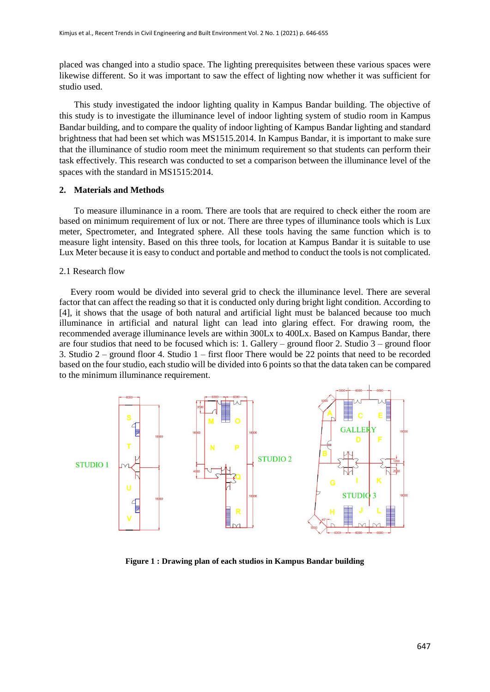placed was changed into a studio space. The lighting prerequisites between these various spaces were likewise different. So it was important to saw the effect of lighting now whether it was sufficient for studio used.

This study investigated the indoor lighting quality in Kampus Bandar building. The objective of this study is to investigate the illuminance level of indoor lighting system of studio room in Kampus Bandar building, and to compare the quality of indoor lighting of Kampus Bandar lighting and standard brightness that had been set which was MS1515.2014. In Kampus Bandar, it is important to make sure that the illuminance of studio room meet the minimum requirement so that students can perform their task effectively. This research was conducted to set a comparison between the illuminance level of the spaces with the standard in MS1515:2014.

#### **2. Materials and Methods**

To measure illuminance in a room. There are tools that are required to check either the room are based on minimum requirement of lux or not. There are three types of illuminance tools which is Lux meter, Spectrometer, and Integrated sphere. All these tools having the same function which is to measure light intensity. Based on this three tools, for location at Kampus Bandar it is suitable to use Lux Meter because it is easy to conduct and portable and method to conduct the tools is not complicated.

#### 2.1 Research flow

 Every room would be divided into several grid to check the illuminance level. There are several factor that can affect the reading so that it is conducted only during bright light condition. According to [4], it shows that the usage of both natural and artificial light must be balanced because too much illuminance in artificial and natural light can lead into glaring effect. For drawing room, the recommended average illuminance levels are within 300Lx to 400Lx. Based on Kampus Bandar, there are four studios that need to be focused which is: 1. Gallery – ground floor 2. Studio 3 – ground floor 3. Studio 2 – ground floor 4. Studio 1 – first floor There would be 22 points that need to be recorded based on the four studio, each studio will be divided into 6 points so that the data taken can be compared to the minimum illuminance requirement.



**Figure 1 : Drawing plan of each studios in Kampus Bandar building**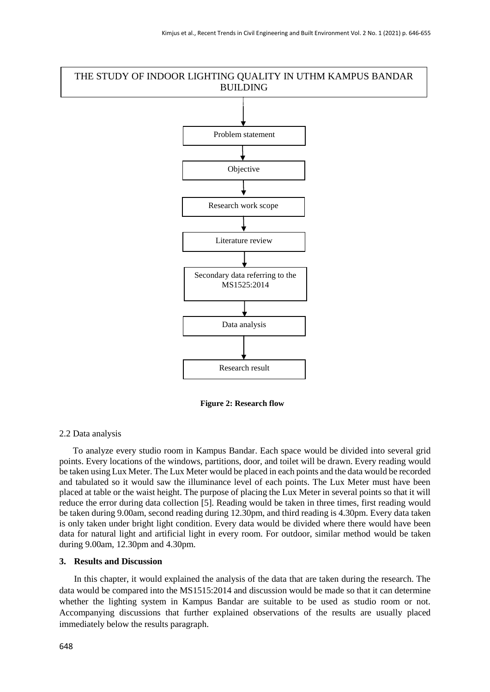# THE STUDY OF INDOOR LIGHTING QUALITY IN UTHM KAMPUS BANDAR BUILDING



**Figure 2: Research flow**

#### 2.2 Data analysis

 To analyze every studio room in Kampus Bandar. Each space would be divided into several grid points. Every locations of the windows, partitions, door, and toilet will be drawn. Every reading would be taken using Lux Meter. The Lux Meter would be placed in each points and the data would be recorded and tabulated so it would saw the illuminance level of each points. The Lux Meter must have been placed at table or the waist height. The purpose of placing the Lux Meter in several points so that it will reduce the error during data collection [5]. Reading would be taken in three times, first reading would be taken during 9.00am, second reading during 12.30pm, and third reading is 4.30pm. Every data taken is only taken under bright light condition. Every data would be divided where there would have been data for natural light and artificial light in every room. For outdoor, similar method would be taken during 9.00am, 12.30pm and 4.30pm.

## **3. Results and Discussion**

In this chapter, it would explained the analysis of the data that are taken during the research. The data would be compared into the MS1515:2014 and discussion would be made so that it can determine whether the lighting system in Kampus Bandar are suitable to be used as studio room or not. Accompanying discussions that further explained observations of the results are usually placed immediately below the results paragraph.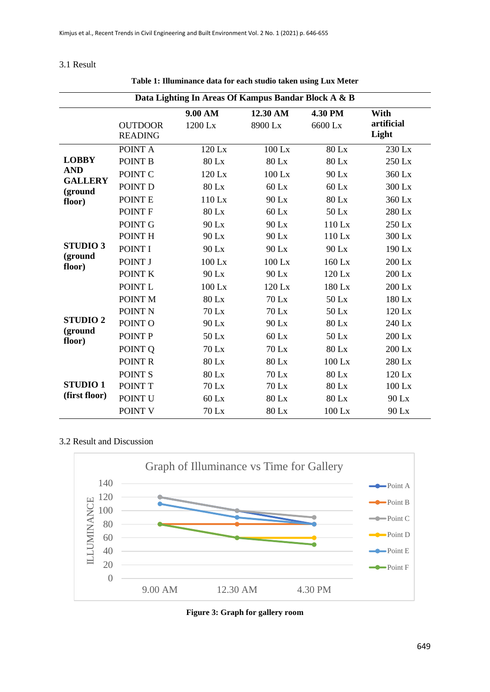## 3.1 Result

| Data Lighting In Areas Of Kampus Bandar Block A & B               |                                  |              |          |          |                     |
|-------------------------------------------------------------------|----------------------------------|--------------|----------|----------|---------------------|
|                                                                   |                                  | 9.00 AM      | 12.30 AM | 4.30 PM  | With                |
|                                                                   | <b>OUTDOOR</b><br><b>READING</b> | 1200 Lx      | 8900 Lx  | 6600 Lx  | artificial<br>Light |
| <b>LOBBY</b><br><b>AND</b><br><b>GALLERY</b><br>(ground<br>floor) | POINT A                          | $120$ Lx     | $100$ Lx | 80 Lx    | 230 Lx              |
|                                                                   | POINT B                          | 80 Lx        | 80 Lx    | 80 Lx    | 250 Lx              |
|                                                                   | POINT C                          | 120 Lx       | 100 Lx   | 90 Lx    | 360 Lx              |
|                                                                   | POINT D                          | 80 Lx        | $60$ Lx  | $60$ Lx  | 300 Lx              |
|                                                                   | POINT E                          | 110 Lx       | 90 Lx    | 80 Lx    | 360 Lx              |
|                                                                   | POINT F                          | 80 Lx        | $60$ Lx  | 50 Lx    | 280 Lx              |
| <b>STUDIO3</b><br>(ground<br>floor)                               | POINT G                          | 90 Lx        | 90 Lx    | $110$ Lx | 250 Lx              |
|                                                                   | POINT H                          | 90 Lx        | 90 Lx    | 110 Lx   | 300 Lx              |
|                                                                   | POINT I                          | 90 Lx        | 90 Lx    | 90 Lx    | 190 Lx              |
|                                                                   | POINT J                          | $100$ Lx     | 100 Lx   | 160 Lx   | 200 Lx              |
|                                                                   | POINT K                          | 90 Lx        | 90 Lx    | 120 Lx   | 200 Lx              |
|                                                                   | POINT L                          | $100$ Lx     | 120 Lx   | 180 Lx   | 200 Lx              |
| <b>STUDIO2</b><br>(ground<br>floor)                               | POINT <sub>M</sub>               | 80 Lx        | $70$ Lx  | 50 Lx    | 180 Lx              |
|                                                                   | POINT <sub>N</sub>               | $70$ Lx      | $70$ Lx  | $50$ Lx  | $120$ Lx            |
|                                                                   | POINT O                          | 90 Lx        | 90 Lx    | 80 Lx    | 240 Lx              |
|                                                                   | POINT P                          | 50 Lx        | $60$ Lx  | 50 Lx    | 200 Lx              |
|                                                                   | POINT Q                          | <b>70 Lx</b> | 70 Lx    | 80 Lx    | 200 Lx              |
|                                                                   | POINT R                          | 80 Lx        | 80 Lx    | 100 Lx   | 280 Lx              |
| <b>STUDIO1</b><br>(first floor)                                   | POINT <sub>S</sub>               | <b>80 Lx</b> | 70 Lx    | 80 Lx    | 120 Lx              |
|                                                                   | POINT T                          | 70 Lx        | 70 Lx    | 80 Lx    | $100$ Lx            |
|                                                                   | POINT U                          | 60 Lx        | 80 Lx    | 80 Lx    | 90 Lx               |
|                                                                   | POINT V                          | 70 Lx        | 80 Lx    | $100$ Lx | 90 Lx               |

**Table 1: Illuminance data for each studio taken using Lux Meter**

# 3.2 Result and Discussion



**Figure 3: Graph for gallery room**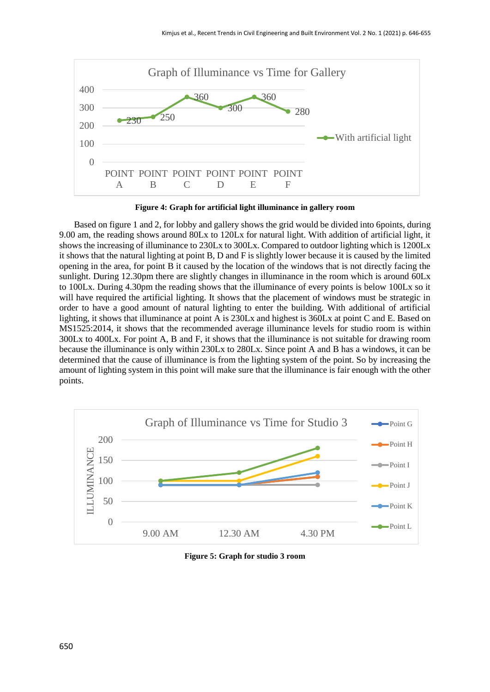

**Figure 4: Graph for artificial light illuminance in gallery room**

Based on figure 1 and 2, for lobby and gallery shows the grid would be divided into 6points, during 9.00 am, the reading shows around 80Lx to 120Lx for natural light. With addition of artificial light, it shows the increasing of illuminance to 230Lx to 300Lx. Compared to outdoor lighting which is 1200Lx it shows that the natural lighting at point B, D and F is slightly lower because it is caused by the limited opening in the area, for point B it caused by the location of the windows that is not directly facing the sunlight. During 12.30pm there are slightly changes in illuminance in the room which is around 60Lx to 100Lx. During 4.30pm the reading shows that the illuminance of every points is below 100Lx so it will have required the artificial lighting. It shows that the placement of windows must be strategic in order to have a good amount of natural lighting to enter the building. With additional of artificial lighting, it shows that illuminance at point A is 230Lx and highest is 360Lx at point C and E. Based on MS1525:2014, it shows that the recommended average illuminance levels for studio room is within 300Lx to 400Lx. For point A, B and F, it shows that the illuminance is not suitable for drawing room because the illuminance is only within 230Lx to 280Lx. Since point A and B has a windows, it can be determined that the cause of illuminance is from the lighting system of the point. So by increasing the amount of lighting system in this point will make sure that the illuminance is fair enough with the other points.



**Figure 5: Graph for studio 3 room**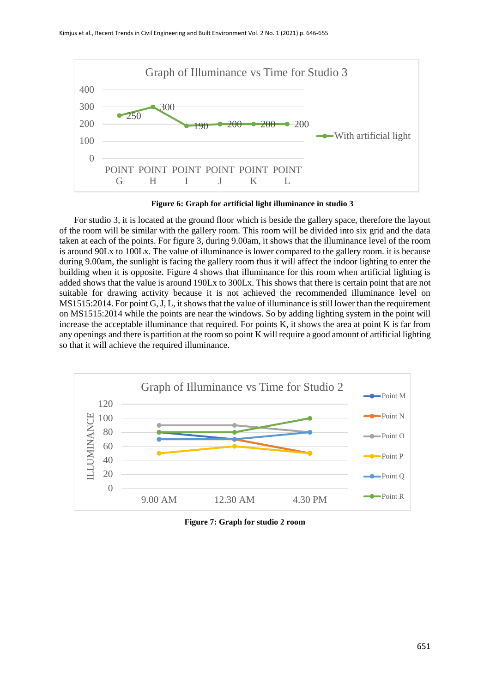

**Figure 6: Graph for artificial light illuminance in studio 3**

For studio 3, it is located at the ground floor which is beside the gallery space, therefore the layout of the room will be similar with the gallery room. This room will be divided into six grid and the data taken at each of the points. For figure 3, during 9.00am, it shows that the illuminance level of the room is around 90Lx to 100Lx. The value of illuminance is lower compared to the gallery room. it is because during 9.00am, the sunlight is facing the gallery room thus it will affect the indoor lighting to enter the building when it is opposite. Figure 4 shows that illuminance for this room when artificial lighting is added shows that the value is around 190Lx to 300Lx. This shows that there is certain point that are not suitable for drawing activity because it is not achieved the recommended illuminance level on MS1515:2014. For point G, J, L, it shows that the value of illuminance is still lower than the requirement on MS1515:2014 while the points are near the windows. So by adding lighting system in the point will increase the acceptable illuminance that required. For points K, it shows the area at point K is far from any openings and there is partition at the room so point K will require a good amount of artificial lighting so that it will achieve the required illuminance.



**Figure 7: Graph for studio 2 room**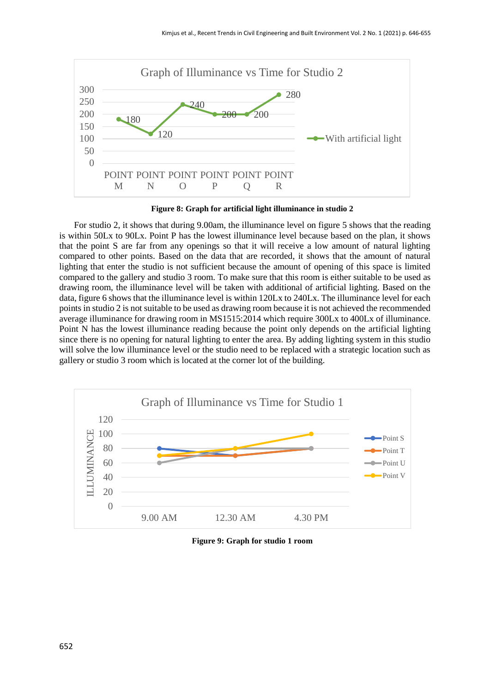

**Figure 8: Graph for artificial light illuminance in studio 2**

For studio 2, it shows that during 9.00am, the illuminance level on figure 5 shows that the reading is within 50Lx to 90Lx. Point P has the lowest illuminance level because based on the plan, it shows that the point S are far from any openings so that it will receive a low amount of natural lighting compared to other points. Based on the data that are recorded, it shows that the amount of natural lighting that enter the studio is not sufficient because the amount of opening of this space is limited compared to the gallery and studio 3 room. To make sure that this room is either suitable to be used as drawing room, the illuminance level will be taken with additional of artificial lighting. Based on the data, figure 6 shows that the illuminance level is within 120Lx to 240Lx. The illuminance level for each points in studio 2 is not suitable to be used as drawing room because it is not achieved the recommended average illuminance for drawing room in MS1515:2014 which require 300Lx to 400Lx of illuminance. Point N has the lowest illuminance reading because the point only depends on the artificial lighting since there is no opening for natural lighting to enter the area. By adding lighting system in this studio will solve the low illuminance level or the studio need to be replaced with a strategic location such as gallery or studio 3 room which is located at the corner lot of the building.



**Figure 9: Graph for studio 1 room**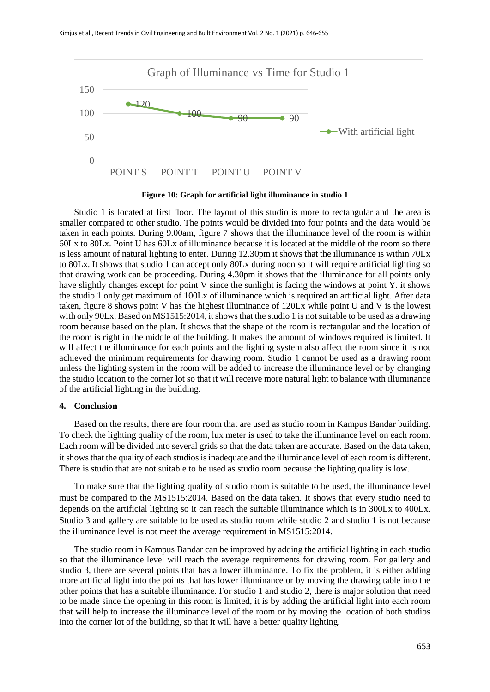

**Figure 10: Graph for artificial light illuminance in studio 1**

Studio 1 is located at first floor. The layout of this studio is more to rectangular and the area is smaller compared to other studio. The points would be divided into four points and the data would be taken in each points. During 9.00am, figure 7 shows that the illuminance level of the room is within 60Lx to 80Lx. Point U has 60Lx of illuminance because it is located at the middle of the room so there is less amount of natural lighting to enter. During 12.30pm it shows that the illuminance is within 70Lx to 80Lx. It shows that studio 1 can accept only 80Lx during noon so it will require artificial lighting so that drawing work can be proceeding. During 4.30pm it shows that the illuminance for all points only have slightly changes except for point V since the sunlight is facing the windows at point Y. it shows the studio 1 only get maximum of 100Lx of illuminance which is required an artificial light. After data taken, figure 8 shows point V has the highest illuminance of 120Lx while point U and V is the lowest with only 90Lx. Based on MS1515:2014, it shows that the studio 1 is not suitable to be used as a drawing room because based on the plan. It shows that the shape of the room is rectangular and the location of the room is right in the middle of the building. It makes the amount of windows required is limited. It will affect the illuminance for each points and the lighting system also affect the room since it is not achieved the minimum requirements for drawing room. Studio 1 cannot be used as a drawing room unless the lighting system in the room will be added to increase the illuminance level or by changing the studio location to the corner lot so that it will receive more natural light to balance with illuminance of the artificial lighting in the building.

#### **4. Conclusion**

Based on the results, there are four room that are used as studio room in Kampus Bandar building. To check the lighting quality of the room, lux meter is used to take the illuminance level on each room. Each room will be divided into several grids so that the data taken are accurate. Based on the data taken, it shows that the quality of each studios is inadequate and the illuminance level of each room is different. There is studio that are not suitable to be used as studio room because the lighting quality is low.

To make sure that the lighting quality of studio room is suitable to be used, the illuminance level must be compared to the MS1515:2014. Based on the data taken. It shows that every studio need to depends on the artificial lighting so it can reach the suitable illuminance which is in 300Lx to 400Lx. Studio 3 and gallery are suitable to be used as studio room while studio 2 and studio 1 is not because the illuminance level is not meet the average requirement in MS1515:2014.

The studio room in Kampus Bandar can be improved by adding the artificial lighting in each studio so that the illuminance level will reach the average requirements for drawing room. For gallery and studio 3, there are several points that has a lower illuminance. To fix the problem, it is either adding more artificial light into the points that has lower illuminance or by moving the drawing table into the other points that has a suitable illuminance. For studio 1 and studio 2, there is major solution that need to be made since the opening in this room is limited, it is by adding the artificial light into each room that will help to increase the illuminance level of the room or by moving the location of both studios into the corner lot of the building, so that it will have a better quality lighting.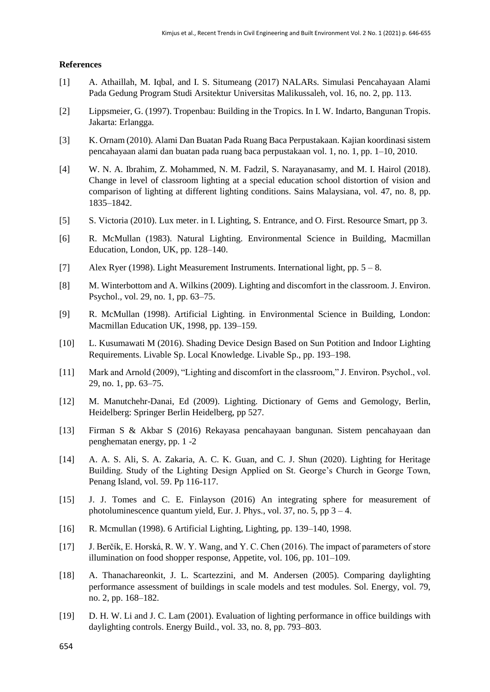## **References**

- [1] A. Athaillah, M. Iqbal, and I. S. Situmeang (2017) NALARs. Simulasi Pencahayaan Alami Pada Gedung Program Studi Arsitektur Universitas Malikussaleh, vol. 16, no. 2, pp. 113.
- [2] Lippsmeier, G. (1997). Tropenbau: Building in the Tropics. In I. W. Indarto, Bangunan Tropis. Jakarta: Erlangga.
- [3] K. Ornam (2010). Alami Dan Buatan Pada Ruang Baca Perpustakaan. Kajian koordinasi sistem pencahayaan alami dan buatan pada ruang baca perpustakaan vol. 1, no. 1, pp. 1–10, 2010.
- [4] W. N. A. Ibrahim, Z. Mohammed, N. M. Fadzil, S. Narayanasamy, and M. I. Hairol (2018). Change in level of classroom lighting at a special education school distortion of vision and comparison of lighting at different lighting conditions. Sains Malaysiana, vol. 47, no. 8, pp. 1835–1842.
- [5] S. Victoria (2010). Lux meter. in I. Lighting, S. Entrance, and O. First. Resource Smart, pp 3.
- [6] R. McMullan (1983). Natural Lighting. Environmental Science in Building, Macmillan Education, London, UK, pp. 128–140.
- [7] Alex Ryer (1998). Light Measurement Instruments. International light, pp. 5 8.
- [8] M. Winterbottom and A. Wilkins (2009). Lighting and discomfort in the classroom. J. Environ. Psychol., vol. 29, no. 1, pp. 63–75.
- [9] R. McMullan (1998). Artificial Lighting. in Environmental Science in Building, London: Macmillan Education UK, 1998, pp. 139–159.
- [10] L. Kusumawati M (2016). Shading Device Design Based on Sun Potition and Indoor Lighting Requirements. Livable Sp. Local Knowledge. Livable Sp., pp. 193–198.
- [11] Mark and Arnold (2009), "Lighting and discomfort in the classroom," J. Environ. Psychol., vol. 29, no. 1, pp. 63–75.
- [12] M. Manutchehr-Danai, Ed (2009). Lighting. Dictionary of Gems and Gemology, Berlin, Heidelberg: Springer Berlin Heidelberg, pp 527.
- [13] Firman S & Akbar S (2016) Rekayasa pencahayaan bangunan. Sistem pencahayaan dan penghematan energy, pp. 1 -2
- [14] A. A. S. Ali, S. A. Zakaria, A. C. K. Guan, and C. J. Shun (2020). Lighting for Heritage Building. Study of the Lighting Design Applied on St. George's Church in George Town, Penang Island, vol. 59. Pp 116-117.
- [15] J. J. Tomes and C. E. Finlayson (2016) An integrating sphere for measurement of photoluminescence quantum yield, Eur. J. Phys., vol. 37, no. 5, pp  $3 - 4$ .
- [16] R. Mcmullan (1998). 6 Artificial Lighting, Lighting, pp. 139–140, 1998.
- [17] J. Berčík, E. Horská, R. W. Y. Wang, and Y. C. Chen (2016). The impact of parameters of store illumination on food shopper response, Appetite, vol. 106, pp. 101–109.
- [18] A. Thanachareonkit, J. L. Scartezzini, and M. Andersen (2005). Comparing daylighting performance assessment of buildings in scale models and test modules. Sol. Energy, vol. 79, no. 2, pp. 168–182.
- [19] D. H. W. Li and J. C. Lam (2001). Evaluation of lighting performance in office buildings with daylighting controls. Energy Build., vol. 33, no. 8, pp. 793–803.